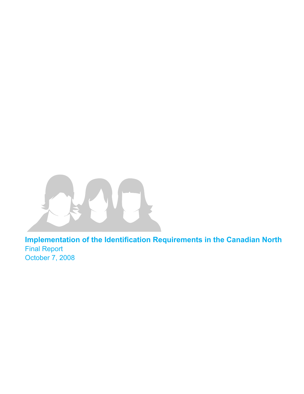

**Implementation of the Identification Requirements in the Canadian North** Final Report October 7, 2008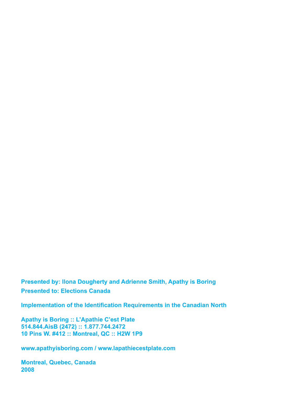**Presented by: Ilona Dougherty and Adrienne Smith, Apathy is Boring Presented to: Elections Canada**

**Implementation of the Identification Requirements in the Canadian North**

**Apathy is Boring :: L'Apathie C'est Plate 514.844.AisB (2472) :: 1.877.744.2472 10 Pins W. #412 :: Montreal, QC :: H2W 1P9** 

**www.apathyisboring.com / www.lapathiecestplate.com**

**Montreal, Quebec, Canada 2008**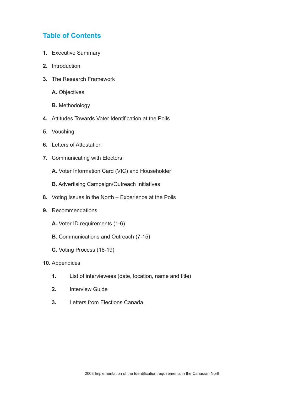# **Table of Contents**

- **1.** Executive Summary
- **2.** Introduction
- **3.** The Research Framework
	- **A.** Objectives
	- **B.** Methodology
- **4.** Attitudes Towards Voter Identification at the Polls
- **5.** Vouching
- **6.** Letters of Attestation
- **7.** Communicating with Electors
	- **A.** Voter Information Card (VIC) and Householder
	- **B.** Advertising Campaign/Outreach Initiatives
- **8.** Voting Issues in the North Experience at the Polls
- **9.** Recommendations
	- **A.** Voter ID requirements (1-6)
	- **B.** Communications and Outreach (7-15)
	- **C.** Voting Process (16-19)
- **10.** Appendices
	- **1.** List of interviewees (date, location, name and title)
	- **2.** Interview Guide
	- **3.** Letters from Elections Canada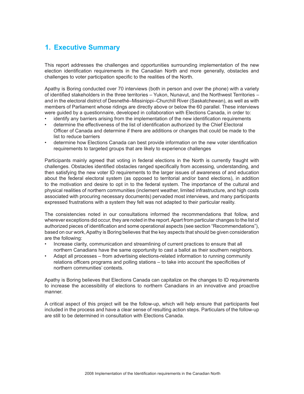# **1. Executive Summary**

This report addresses the challenges and opportunities surrounding implementation of the new election identification requirements in the Canadian North and more generally, obstacles and challenges to voter participation specific to the realities of the North.

Apathy is Boring conducted over 70 interviews (both in person and over the phone) with a variety of identified stakeholders in the three territories – Yukon, Nunavut, and the Northwest Territories – and in the electoral district of Desnethé–Missinippi–Churchill River (Saskatchewan), as well as with members of Parliament whose ridings are directly above or below the 60 parallel. These interviews were guided by a questionnaire, developed in collaboration with Elections Canada, in order to:

- identify any barriers arising from the implementation of the new identification requirements
- determine the effectiveness of the list of identification authorized by the Chief Electoral Officer of Canada and determine if there are additions or changes that could be made to the list to reduce barriers
- determine how Elections Canada can best provide information on the new voter identification requirements to targeted groups that are likely to experience challenges

Participants mainly agreed that voting in federal elections in the North is currently fraught with challenges. Obstacles identified obstacles ranged specifically from accessing, understanding, and then satisfying the new voter ID requirements to the larger issues of awareness of and education about the federal electoral system (as opposed to territorial and/or band elections), in addition to the motivation and desire to opt in to the federal system. The importance of the cultural and physical realities of northern communities (inclement weather, limited infrastructure, and high costs associated with procuring necessary documents) pervaded most interviews, and many participants expressed frustrations with a system they felt was not adapted to their particular reality.

The consistencies noted in our consultations informed the recommendations that follow, and wherever exceptions did occur, they are noted in the report. Apart from particular changes to the list of authorized pieces of identification and some operational aspects (see section "Recommendations"), based on our work, Apathy is Boring believes that the key aspects that should be given consideration are the following:

- Increase clarity, communication and streamlining of current practices to ensure that all northern Canadians have the same opportunity to cast a ballot as their southern neighbors.
- Adapt all processes from advertising elections-related information to running community relations officers programs and polling stations – to take into account the specificities of northern communities' contexts.

Apathy is Boring believes that Elections Canada can capitalize on the changes to ID requirements to increase the accessibility of elections to northern Canadians in an innovative and proactive manner.

A critical aspect of this project will be the follow-up, which will help ensure that participants feel included in the process and have a clear sense of resulting action steps. Particulars of the follow-up are still to be determined in consultation with Elections Canada.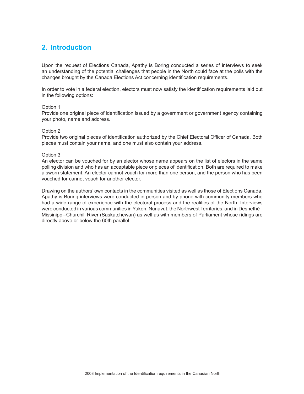# **2. Introduction**

Upon the request of Elections Canada, Apathy is Boring conducted a series of interviews to seek an understanding of the potential challenges that people in the North could face at the polls with the changes brought by the Canada Elections Act concerning identification requirements.

In order to vote in a federal election, electors must now satisfy the identification requirements laid out in the following options:

#### Option 1

Provide one original piece of identification issued by a government or government agency containing your photo, name and address.

#### Option 2

Provide two original pieces of identification authorized by the Chief Electoral Officer of Canada. Both pieces must contain your name, and one must also contain your address.

#### Option 3

An elector can be vouched for by an elector whose name appears on the list of electors in the same polling division and who has an acceptable piece or pieces of identification. Both are required to make a sworn statement. An elector cannot vouch for more than one person, and the person who has been vouched for cannot vouch for another elector.

Drawing on the authors' own contacts in the communities visited as well as those of Elections Canada, Apathy is Boring interviews were conducted in person and by phone with community members who had a wide range of experience with the electoral process and the realities of the North. Interviews were conducted in various communities in Yukon, Nunavut, the Northwest Territories, and in Desnethé– Missinippi–Churchill River (Saskatchewan) as well as with members of Parliament whose ridings are directly above or below the 60th parallel.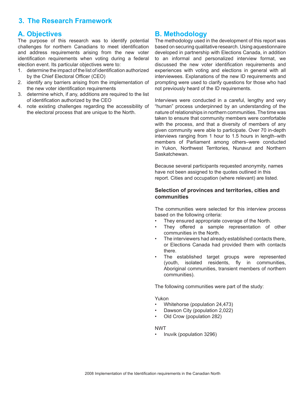# **3. The Research Framework**

# **A. Objectives**

The purpose of this research was to identify potential challenges for northern Canadians to meet identification and address requirements arising from the new voter identification requirements when voting during a federal election event. Its particular objectives were to:

- 1. determine the impact of the list of identification authorized by the Chief Electoral Officer (CEO)
- 2. identify any barriers arising from the implementation of the new voter identification requirements
- 3. determine which, if any, additions are required to the list of identification authorized by the CEO
- 4. note existing challenges regarding the accessibility of the electoral process that are unique to the North.

# **B. Methodology**

The methodology used in the development of this report was based on securing qualitative research. Using aquestionnaire developed in partnership with Elections Canada, in addition to an informal and personalized interview format, we discussed the new voter identification requirements and experiences with voting and elections in general with all interviewees. Explanations of the new ID requirements and prompting were used to clarify questions for those who had not previously heard of the ID requirements.

Interviews were conducted in a careful, lengthy and very "human" process underpinned by an understanding of the nature of relationships in northern communities. The time was taken to ensure that community members were comfortable with the process, and that a diversity of members of any given community were able to participate. Over 70 in-depth interviews ranging from 1 hour to 1.5 hours in length–with members of Parliament among others–were conducted in Yukon, Northwest Territories, Nunavut and Northern Saskatchewan.

Because several participants requested anonymity, names have not been assigned to the quotes outlined in this report. Cities and occupation (where relevant) are listed.

## **Selection of provinces and territories, cities and communities**

The communities were selected for this interview process based on the following criteria:

- They ensured appropriate coverage of the North.
- They offered a sample representation of other communities in the North.
- The interviewers had already established contacts there, or Elections Canada had provided them with contacts there.
- The established target groups were represented (youth, isolated residents, fly in communities, Aboriginal communities, transient members of northern communities).

The following communities were part of the study:

Yukon

- Whitehorse (population 24,473)
- Dawson City (population 2,022)
- Old Crow (population 282)

#### NWT

• Inuvik (population 3296)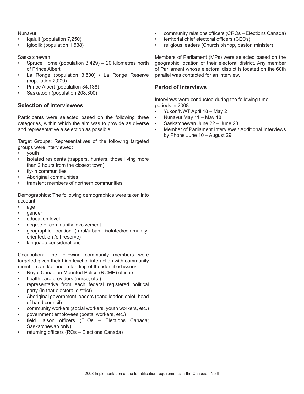Nunavut

- Iqaluit (population 7,250)
- Igloolik (population 1,538)

## **Saskatchewan**

- Spruce Home (population 3,429) 20 kilometres north of Prince Albert
- La Ronge (population 3,500) / La Ronge Reserve (population 2,000)
- Prince Albert (population 34,138)
- Saskatoon (population 208,300)

## **Selection of interviewees**

Participants were selected based on the following three categories, within which the aim was to provide as diverse and representative a selection as possible:

Target Groups: Representatives of the following targeted groups were interviewed:

- youth
- isolated residents (trappers, hunters, those living more than 2 hours from the closest town)
- fly-in communities
- Aboriginal communities
- transient members of northern communities

Demographics: The following demographics were taken into account:

- age
- gender
- education level
- degree of community involvement
- geographic location (rural/urban, isolated/communityoriented, on /off reserve)
- language considerations

Occupation: The following community members were targeted given their high level of interaction with community members and/or understanding of the identified issues:

- Royal Canadian Mounted Police (RCMP) officers
- health care providers (nurse, etc.)
- representative from each federal registered political party (in that electoral district)
- Aboriginal government leaders (band leader, chief, head of band council)
- community workers (social workers, youth workers, etc.)
- government employees (postal workers, etc.)
- field liaison officers (FLOs Elections Canada; Saskatchewan only)
- returning officers (ROs Elections Canada)
- community relations officers (CROs Elections Canada)
- territorial chief electoral officers (CEOs)
- religious leaders (Church bishop, pastor, minister)

Members of Parliament (MPs) were selected based on the geographic location of their electoral district. Any member of Parliament whose electoral district is located on the 60th parallel was contacted for an interview.

## **Period of interviews**

Interviews were conducted during the following time periods in 2008:

- Yukon/NWT April 18 May 2
- Nunavut May 11 May 18
- Saskatchewan June 22 June 28
- Member of Parliament Interviews / Additional Interviews by Phone June 10 – August 29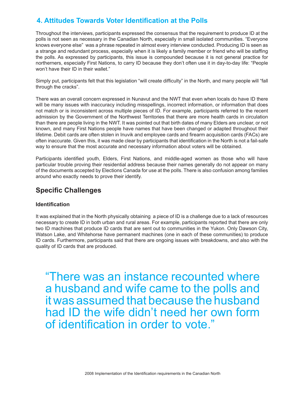# **4. Attitudes Towards Voter Identification at the Polls**

Throughout the interviews, participants expressed the consensus that the requirement to produce ID at the polls is not seen as necessary in the Canadian North, especially in small isolated communities. "Everyone knows everyone else" was a phrase repeated in almost every interview conducted. Producing ID is seen as a strange and redundant process, especially when it is likely a family member or friend who will be staffing the polls. As expressed by participants, this issue is compounded because it is not general practice for northerners, especially First Nations, to carry ID because they don't often use it in day-to-day life: "People won't have their ID in their wallet."

Simply put, participants felt that this legislation "will create difficulty" in the North, and many people will "fall through the cracks".

There was an overall concern expressed in Nunavut and the NWT that even when locals do have ID there will be many issues with inaccuracy including misspellings, incorrect information, or information that does not match or is inconsistent across multiple pieces of ID. For example, participants referred to the recent admission by the Government of the Northwest Territories that there are more health cards in circulation than there are people living in the NWT. It was pointed out that birth dates of many Elders are unclear, or not known, and many First Nations people have names that have been changed or adapted throughout their lifetime. Debit cards are often stolen in Inuvik and employee cards and firearm acquisition cards (FACs) are often inaccurate. Given this, it was made clear by participants that identification in the North is not a fail-safe way to ensure that the most accurate and necessary information about voters will be obtained.

Participants identified youth, Elders, First Nations, and middle-aged women as those who will have particular trouble proving their residential address because their names generally do not appear on many of the documents accepted by Elections Canada for use at the polls. There is also confusion among families around who exactly needs to prove their identify.

# **Specific Challenges**

# **Identification**

It was explained that in the North physically obtaining a piece of ID is a challenge due to a lack of resources necessary to create ID in both urban and rural areas. For example, participants reported that there are only two ID machines that produce ID cards that are sent out to communities in the Yukon. Only Dawson City, Watson Lake, and Whitehorse have permanent machines (one in each of these communities) to produce ID cards. Furthermore, participants said that there are ongoing issues with breakdowns, and also with the quality of ID cards that are produced.

"There was an instance recounted where a husband and wife came to the polls and it was assumed that because the husband had ID the wife didn't need her own form of identification in order to vote."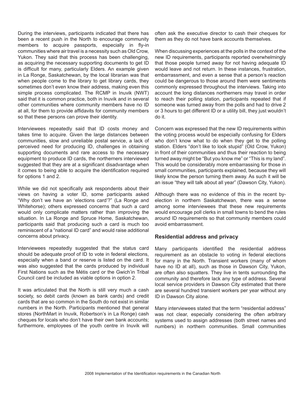During the interviews, participants indicated that there has been a recent push in the North to encourage community members to acquire passports, especially in fly-in communities where air travel is a necessity such as Old Crow, Yukon. They said that this process has been challenging, as acquiring the necessary supporting documents to get ID is difficult for many, particularly Elders. An example given in La Ronge, Saskatchewan, by the local librarian was that when people come to the library to get library cards, they sometimes don't even know their address, making even this simple process complicated. The RCMP in Inuvik (NWT) said that it is common practice, both in Inuvik and in several other communities where community members have no ID at all, for them to provide affidavits for community members so that these persons can prove their identity.

Interviewees repeatedly said that ID costs money and takes time to acquire. Given the large distances between communities, slow and unreliable postal service, a lack of perceived need for producing ID, challenges in obtaining supporting documents and rare access to the necessary equipment to produce ID cards, the northerners interviewed suggested that they are at a significant disadvantage when it comes to being able to acquire the identification required for options 1 and 2.

While we did not specifically ask respondents about their views on having a voter ID, some participants asked "Why don't we have an 'elections card'?" (La Ronge and Whitehorse); others expressed concerns that such a card would only complicate matters rather than improving the situation. In La Ronge and Spruce Home, Saskatchewan, participants said that producing such a card is much too reminiscent of a "national ID card" and would raise additional concerns about privacy.

Interviewees repeatedly suggested that the status card should be adequate proof of ID to vote in federal elections, especially when a band or reserve is listed on the card. It was also suggested that the cards produced by individual First Nations such as the Métis card or the Gwich'in Tribal Council card be included as viable options in option 2.

It was articulated that the North is still very much a cash society, so debit cards (known as bank cards) and credit cards that are so common in the South do not exist in similar numbers in the North. Participants mentioned that general stores (NorthMart in Inuvik, Robertson's in La Ronge) cash cheques for locals who don't have their own bank accounts; furthermore, employees of the youth centre in Inuvik will

often ask the executive director to cash their cheques for them as they do not have bank accounts themselves.

When discussing experiences at the polls in the context of the new ID requirements, participants reported overwhelmingly that those people turned away for not having adequate ID would leave and not return. In these instances, frustration, embarrassment, and even a sense that a person's reaction could be dangerous to those around them were sentiments commonly expressed throughout the interviews. Taking into account the long distances northerners may travel in order to reach their polling station, participants repeated that if someone was turned away from the polls and had to drive 2 or 3 hours to get different ID or a utility bill, they just wouldn't do it.

Concern was expressed that the new ID requirements within the voting process would be especially confusing for Elders who don't know what to do when they get to the polling station. Elders "don't like to look stupid" (Old Crow, Yukon) in front of their communities and thus their reaction to being turned away might be "But you know me" or "This is my land". This would be considerably more embarrassing for those in small communities, participants explained, because they will likely know the person turning them away. As such it will be an issue "they will talk about all year" (Dawson City, Yukon).

Although there was no evidence of this in the recent byelection in northern Saskatchewan, there was a sense among some interviewees that these new requirements would encourage poll clerks in small towns to bend the rules around ID requirements so that community members could avoid embarrassment.

#### **Residential address and privacy**

Many participants identified the residential address requirement as an obstacle to voting in federal elections for many in the North. Transient workers (many of whom have no ID at all), such as those in Dawson City, Yukon, are often also squatters. They live in tents surrounding the community and therefore lack any type of address. Several local service providers in Dawson City estimated that there are several hundred transient workers per year without any ID in Dawson City alone.

Many interviewees stated that the term "residential address" was not clear, especially considering the often arbitrary systems used to assign addresses (both street names and numbers) in northern communities. Small communities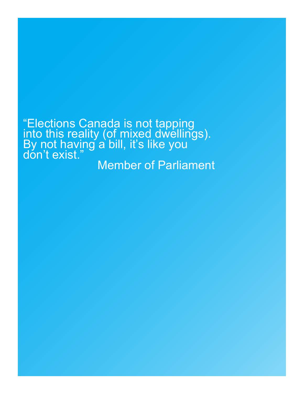"Elections Canada is not tapping into this reality (of mixed dwellings). By not having a bill, it's like you don't exist." Member of Parliament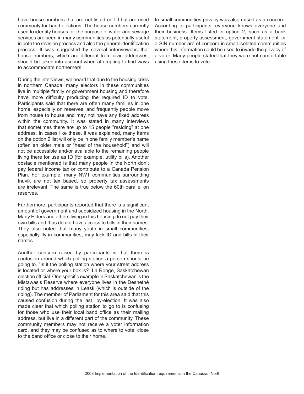have house numbers that are not listed on ID but are used commonly for band elections. The house numbers currently used to identify houses for the purpose of water and sewage services are seen in many communities as potentially useful in both the revision process and also the general identification process. It was suggested by several interviewees that house numbers, which are different from civic addresses, should be taken into account when attempting to find ways to accommodate northerners.

During the interviews, we heard that due to the housing crisis in northern Canada, many electors in these communities live in multiple family or government housing and therefore have more difficulty producing the required ID to vote. Participants said that there are often many families in one home, especially on reserves, and frequently people move from house to house and may not have any fixed address within the community. It was stated in many interviews that sometimes there are up to 15 people "residing" at one address. In cases like these, it was explained, many items on the option 2 list will only be in one family member's name (often an older male or "head of the household") and will not be accessible and/or available to the remaining people living there for use as ID (for example, utility bills). Another obstacle mentioned is that many people in the North don't pay federal income tax or contribute to a Canada Pension Plan. For example, many NWT communities surrounding Inuvik are not tax based, so property tax assessments are irrelevant. The same is true below the 60th parallel on reserves.

Furthermore, participants reported that there is a significant amount of government and subsidized housing in the North. Many Elders and others living in this housing do not pay their own bills and thus do not have access to bills in their names. They also noted that many youth in small communities, especially fly-in communities, may lack ID and bills in their names.

Another concern raised by participants is that there is confusion around which polling station a person should be going to. "Is it the polling station where your street address is located or where your box is?" La Ronge, Saskatchewan election official. One specific example in Saskatchewan is the Mistawasis Reserve where everyone lives in the Desnethé riding but has addresses in Leask (which is outside of the riding). The member of Parliament for this area said that this caused confusion during the last by-election. It was also made clear that which polling station to go to is confusing for those who use their local band office as their mailing address, but live in a different part of the community. These community members may not receive a voter information card, and they may be confused as to where to vote, close to the band office or close to their home.

In small communities privacy was also raised as a concern. According to participants, everyone knows everyone and their business. Items listed in option 2, such as a bank statement, property assessment, government statement, or a SIN number are of concern in small isolated communities where this information could be used to invade the privacy of a voter. Many people stated that they were not comfortable using these items to vote.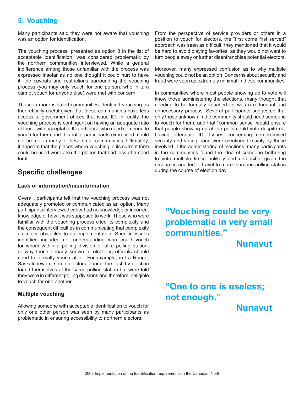# **5. Vouching**

Many participants said they were not aware that vouching was an option for identification.

The vouching process, presented as option 3 in the list of acceptable identification, was considered problematic by the northern communities interviewed. While a general indifference among those unfamiliar with the process was expressed insofar as no one thought it could hurt to have it, the caveats and restrictions surrounding the vouching process (you may only vouch for one person, who in turn cannot vouch for anyone else) were met with concern.

Those in more isolated communities identified vouching as theoretically useful given that these communities have less access to government offices that issue ID. In reality, the vouching process is contingent on having an adequate ratio of those with acceptable ID and those who need someone to vouch for them and this ratio, participants expressed, could not be met in many of these small communities. Ultimately, it appears that the places where vouching in its current form could be used were also the places that had less of a need for it.

# **Specific challenges**

## **Lack of information/misinformation**

Overall, participants felt that the vouching process was not adequately promoted or communicated as an option. Many participants interviewed either had no knowledge or incorrect knowledge of how it was supposed to work. Those who were familiar with the vouching process cited its complexity and the consequent difficulties in communicating that complexity as major obstacles to its implementation. Specific issues identified included not understanding who could vouch for whom within a polling division or at a polling station, or why those already known to elections officials should need to formally vouch at all. For example, in La Ronge, Saskatchewan, some electors during the last by-election found themselves at the same polling station but were told they were in different polling divisions and therefore ineligible to vouch for one another.

## **Multiple vouching**

Allowing someone with acceptable identification to vouch for only one other person was seen by many participants as problematic in ensuring accessibility to northern electors.

From the perspective of service providers or others in a position to vouch for electors, the "first come first served" approach was seen as difficult; they mentioned that it would be hard to avoid playing favorites, as they would not want to turn people away or further disenfranchise potential electors.

Moreover, many expressed confusion as to why multiple vouching could not be an option. Concerns about security and fraud were seen as extremely minimal in these communities.

In communities where most people showing up to vote will know those administering the elections, many thought that needing to be formally vouched for was a redundant and unnecessary process. Several participants suggested that only those unknown in the community should need someone to vouch for them, and that "common sense" would ensure that people showing up at the polls could vote despite not having adequate ID. Issues concerning compromised security and voting fraud were mentioned mainly by those involved in the administering of elections; many participants in the communities found the idea of someone bothering to vote multiple times unlikely and unfeasible given the resources needed to travel to more than one polling station during the course of election day.

**"Vouching could be very problematic in very small communities."** 

 **Nunavut**

**"One to one is useless; not enough."** 

 **Nunavut**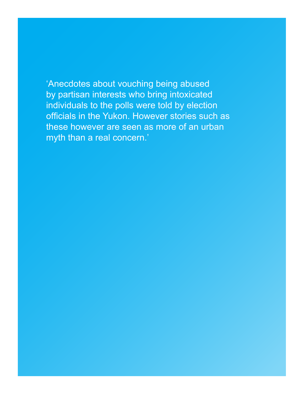'Anecdotes about vouching being abused by partisan interests who bring intoxicated individuals to the polls were told by election officials in the Yukon. However stories such as these however are seen as more of an urban myth than a real concern.'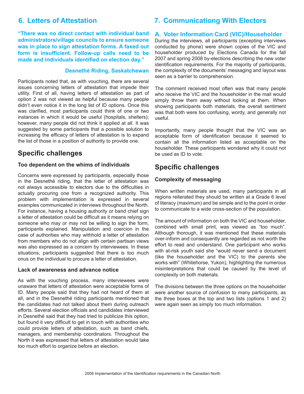**"There was no direct contact with individual band administrators/village councils to ensure someone was in place to sign attestation forms. A faxed out form is insufficient. Follow-up calls need to be made and individuals identified on election day."** 

#### **Desnethé Riding, Saskatchewan**

Participants noted that, as with vouching, there are several issues concerning letters of attestation that impede their utility. First of all, having letters of attestation as part of option 2 was not viewed as helpful because many people didn't even notice it in the long list of ID options. Once this was clarified, most participants could think of one or two instances in which it would be useful (hospitals, shelters); however, many people did not think it applied at all. It was suggested by some participants that a possible solution to increasing the efficacy of letters of attestation is to expand the list of those in a position of authority to provide one.

# **Specific challenges**

#### **Too dependent on the whims of individuals**

Concerns were expressed by participants, especially those in the Desnethé riding, that the letter of attestation was not always accessible to electors due to the difficulties in actually procuring one from a recognized authority. This problem with implementation is expressed in several examples communicated in interviews throughout the North. For instance, having a housing authority or band chief sign a letter of attestation could be difficult as it means relying on someone who may or may not be willing to sign the form, participants explained. Manipulation and coercion in the case of authorities who may withhold a letter of attestation from members who do not align with certain partisan views was also expressed as a concern by interviewees. In these situations, participants suggested that there is too much onus on the individual to procure a letter of attestation.

#### **Lack of awareness and advance notice**

As with the vouching process, many interviewees were unaware that letters of attestation were acceptable forms of ID. Many people said that they had not heard of them at all, and in the Desnethé riding participants mentioned that the candidates had not talked about them during outreach efforts. Several election officials and candidates interviewed in Desnethé said that they had tried to publicize this option, but found it very difficult to get in touch with authorities who could provide letters of attestation, such as band chiefs, managers, and membership coordinators. Throughout the North it was expressed that letters of attestation would take too much effort to organize before an election.

# **6. Letters of Attestation 7. Communicationg With Electors**

## **A. Voter Information Card (VIC)/Householder**

During the interviews, all participants (excepting interviews conducted by phone) were shown copies of the VIC and householder produced by Elections Canada for the fall 2007 and spring 2008 by-elections describing the new voter identification requirements. For the majority of participants, the complexity of the documents' messaging and layout was seen as a barrier to comprehension.

The comment received most often was that many people who receive the VIC and the householder in the mail would simply throw them away without looking at them. When showing participants both materials, the overall sentiment was that both were too confusing, wordy, and generally not useful.

Importantly, many people thought that the VIC was an acceptable form of identification because it seemed to contain all the information listed as acceptable on the householder. These participants wondered why it could not be used as ID to vote.

# **Specific challenges**

## **Complexity of messaging**

When written materials are used, many participants in all regions reiterated they should be written at a Grade 6 level of literacy (maximum) and be simple and to the point in order to communicate to a wide cross-section of the population.

The amount of information on both the VIC and householder, combined with small print, was viewed as "too much". Although thorough, it was mentioned that these materials over-inform and consequently are regarded as not worth the effort to read and understand. One participant who works with at-risk youth said she "would never send a document (like the householder and the VIC) to the parents she works with" (Whitehorse, Yukon), highlighting the numerous misinterpretations that could be caused by the level of complexity on both materials.

The divisions between the three options on the householder were another source of confusion to many participants, as the three boxes at the top and two lists (options 1 and 2) were again seen as simply too much information.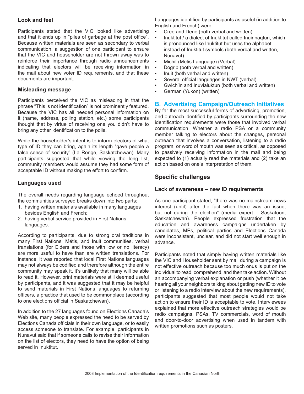## **Look and feel**

Participants stated that the VIC looked like advertising and that it ends up in "piles of garbage at the post office". Because written materials are seen as secondary to verbal communication, a suggestion of one participant to ensure that the VIC and householder are not thrown away was to reinforce their importance through radio announcements indicating that electors will be receiving information in the mail about new voter ID requirements, and that these documents are important.

## **Misleading message**

Participants perceived the VIC as misleading in that the phrase "This is not identification" is not prominently featured. Because the VIC has all needed personal information on it (name, address, polling station, etc.) some participants thought that by virtue of receiving one you didn't have to bring any other identification to the polls.

While the householder's intent is to inform electors of what type of ID they can bring, again its length "gave people a false sense of security" (La Ronge, Saskatchewan). Many participants suggested that while viewing the long list, community members would assume they had some form of acceptable ID without making the effort to confirm.

## **Languages used**

The overall needs regarding language echoed throughout the communities surveyed breaks down into two parts:

- 1. having written materials available in many languages besides English and French;
- 2. having verbal service provided in First Nations languages.

According to participants, due to strong oral traditions in many First Nations, Métis, and Inuit communities, verbal translations (for Elders and those with low or no literacy) are more useful to have than are written translations. For instance, it was reported that local First Nations languages may not always be codified and therefore although the entire community may speak it, it's unlikely that many will be able to read it. However, print materials were still deemed useful by participants, and it was suggested that it may be helpful to send materials in First Nations languages to returning officers, a practice that used to be commonplace (according to one elections official in Saskatchewan).

In addition to the 27 languages found on Elections Canada's Web site, many people expressed the need to be served by Elections Canada officials in their own language, or to easily access someone to translate. For example, participants in Nunavut said that if someone calls to revise their information on the list of electors, they need to have the option of being served in Inuktitut.

Languages identified by participants as useful (in addition to English and French) were:

- Cree and Dene (both verbal and written)
- Inuktitut / a dialect of Inuktitut called Inuinnaqtun, which is pronounced like Inuktitut but uses the alphabet instead of Inuktitut symbols (both verbal and written, Nunavut)
- Michif (Metis Language) (Verbal)
- Dogrib (both verbal and written)
- Inuit (both verbal and written)
- Several official languages in NWT (verbal)
- Gwich'in and Inuvialuktun (both verbal and written)
- German (Yukon) (written)

# **B. Advertising Campaign/Outreach Initiatives**

By far the most successful forms of advertising, promotion, and outreach identified by participants surrounding the new identification requirements were those that involved verbal communication. Whether a radio PSA or a community member talking to electors about the changes, personal outreach that involves a conversation, listening to a radio program, or word of mouth was seen as critical, as opposed to passively receiving information in the mail and being expected to (1) actually read the materials and (2) take an action based on one's interpretation of them.

# **Specific challenges**

## **Lack of awareness – new ID requirements**

As one participant stated, "there was no mainstream news interest (until) after the fact when there was an issue, but not during the election" (media expert – Saskatoon, Saskatchewan). People expressed frustration that the education and awareness campaigns undertaken by candidates, MPs, political parties and Elections Canada were inconsistent, unclear, and did not start well enough in advance.

Participants noted that simply having written materials like the VIC and Householder sent by mail during a campaign is not effective outreach because too much onus is put on the individual to read, comprehend, and then take action. Without an accompanying verbal explanation or push (whether it be hearing all your neighbors talking about getting new ID to vote or listening to a radio interview about the new requirements), participants suggested that most people would not take action to ensure their ID is acceptable to vote. Interviewees explained that more effective outreach strategies would be radio campaigns, PSAs, TV commercials, word of mouth and door-to-door advertising when used in tandem with written promotions such as posters.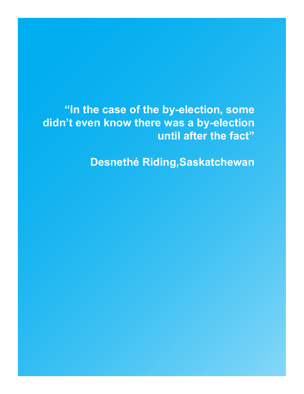**"In the case of the by-election, some didn't even know there was a by-election until after the fact"** 

**Desnethé Riding,Saskatchewan**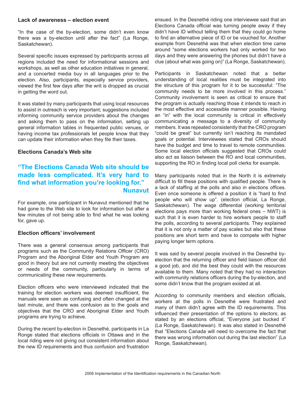#### **Lack of awareness – election event**

"In the case of the by-election, some didn't even know there was a by-election until after the fact" (La Ronge, Saskatchewan).

Several specific issues expressed by participants across all regions included the need for informational sessions and workshops, as well as other education initiatives in general, and a concerted media buy in all languages prior to the election. Also, participants, especially service providers, viewed the first few days after the writ is dropped as crucial in getting the word out.

It was stated by many participants that using local resources to assist in outreach is very important; suggestions included informing community service providers about the changes and asking them to pass on the information, setting up general information tables in frequented public venues, or having income tax professionals let people know that they can update their information when they file their taxes.

#### **Elections Canada's Web site**

# **"The Elections Canada Web site should be made less complicated. It's very hard to find what information you're looking for." Nunavut**

For example, one participant in Nunavut mentioned that he had gone to the Web site to look for information but after a few minutes of not being able to find what he was looking for, gave up.

### **Election officers' involvement**

There was a general consensus among participants that programs such as the Community Relations Officer (CRO) Program and the Aboriginal Elder and Youth Program are good in theory but are not currently meeting the objectives or needs of the community, particularly in terms of communicating these new requirements.

Election officers who were interviewed indicated that the training for election workers was deemed insufficient, the manuals were seen as confusing and often changed at the last minute, and there was confusion as to the goals and objectives that the CRO and Aboriginal Elder and Youth programs are trying to achieve.

During the recent by-election in Desnethé, participants in La Ronge stated that elections officials in Ottawa and in the local riding were not giving out consistent information about the new ID requirements and thus confusion and frustration

ensued. In the Desnethé riding one interviewee said that an Elections Canada official was turning people away if they didn't have ID without telling them that they could go home to find an alternative piece of ID or be vouched for. Another example from Desnethé was that when election time came around "some elections workers had only worked for two days and they were answering the phones but didn't have a clue (about what was going on)" (La Ronge, Saskatchewan).

Participants in Saskatchewan noted that a better understanding of local realities must be integrated into the structure of this program for it to be successful: "The community needs to be more involved in this process." Community involvement is seen as critical to ensure that the program is actually reaching those it intends to reach in the most effective and accessible manner possible. Having an "in" with the local community is critical in effectively communicating a message to a diversity of community members. It was repeated consistently that the CRO program "could be great" but currently isn't reaching its mandated goals or potential. Interviewees stated that CROs should have the budget and time to travel to remote communities. Some local election officials suggested that CROs could also act as liaison between the RO and local communities, supporting the RO in finding local poll clerks for example.

Many participants noted that in the North it is extremely difficult to fill these positions with qualified people. There is a lack of staffing at the polls and also in elections offices. Even once someone is offered a position it is "hard to find people who will show up". (election official, La Ronge, Saskatchewan). The wage differential (working territorial elections pays more than working federal ones – NWT) is such that it is even harder to hire workers people to staff the polls, according to several participants. They explained that it is not only a matter of pay scales but also that these positions are short term and have to compete with higher paying longer term options.

It was said by several people involved in the Desnethé byelection that the returning officer and field liaison officer did a good job, and did the best they could with the resources available to them. Many noted that they had no interaction with community relations officers during the by-election, and some didn't know that the program existed at all.

According to community members and election officials, workers at the polls in Desnethé were frustrated and many of them didn't agree with the ID requirements. This influenced their presentation of the options to electors; as stated by an elections official, "Everyone just bucked it" (La Ronge, Saskatchewan). It was also stated in Desnethé that "Elections Canada will need to overcome the fact that there was wrong information out during the last election" (La Ronge, Saskatchewan).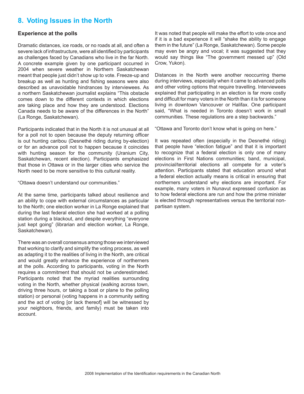# **8. Voting Issues in the North**

#### **Experience at the polls**

Dramatic distances, ice roads, or no roads at all, and often a severe lack of infrastructure, were all identified by participants as challenges faced by Canadians who live in the far North. A concrete example given by one participant occurred in 2004 when severe weather in Northern Saskatchewan meant that people just didn't show up to vote. Freeze-up and breakup as well as hunting and fishing seasons were also described as unavoidable hindrances by interviewees. As a northern Saskatchewan journalist explains "This obstacle comes down to the different contexts in which elections are taking place and how they are understood. Elections Canada needs to be aware of the differences in the North" (La Ronge, Saskatchewan).

Participants indicated that in the North it is not unusual at all for a poll not to open because the deputy returning officer is out hunting caribou (Desnethé riding during by-election) or for an advance poll not to happen because it coincides with hunting season for the community (Uranium City, Saskatchewan, recent election). Participants emphasized that those in Ottawa or in the larger cities who service the North need to be more sensitive to this cultural reality.

"Ottawa doesn't understand our communities."

At the same time, participants talked about resilience and an ability to cope with external circumstances as particular to the North; one election worker in La Ronge explained that during the last federal election she had worked at a polling station during a blackout, and despite everything "everyone just kept going" (librarian and election worker, La Ronge, Saskatchewan).

There was an overall consensus among those we interviewed that working to clarify and simplify the voting process, as well as adapting it to the realities of living in the North, are critical and would greatly enhance the experience of northerners at the polls. According to participants, voting in the North requires a commitment that should not be underestimated. Participants noted that the myriad realities surrounding voting in the North, whether physical (walking across town, driving three hours, or taking a boat or plane to the polling station) or personal (voting happens in a community setting and the act of voting [or lack thereof] will be witnessed by your neighbors, friends, and family) must be taken into account.

It was noted that people will make the effort to vote once and if it is a bad experience it will "shake the ability to engage them in the future" (La Ronge, Saskatchewan). Some people may even be angry and vocal; it was suggested that they would say things like "The government messed up" (Old Crow, Yukon).

Distances in the North were another reoccurring theme during interviews, especially when it came to advanced polls and other voting options that require travelling. Interviewees explained that participating in an election is far more costly and difficult for many voters in the North than it is for someone living in downtown Vancouver or Halifax. One participant said, "What is needed in Toronto doesn't work in small communities. These regulations are a step backwards."

"Ottawa and Toronto don't know what is going on here."

It was repeated often (especially in the Desnethé riding) that people have "election fatigue" and that it is important to recognize that a federal election is only one of many elections in First Nations communities; band, municipal, provincial/territorial elections all compete for a voter's attention. Participants stated that education around what a federal election actually means is critical in ensuring that northerners understand why elections are important. For example, many voters in Nunavut expressed confusion as to how federal elections are run and how the prime minister is elected through representatives versus the territorial nonpartisan system.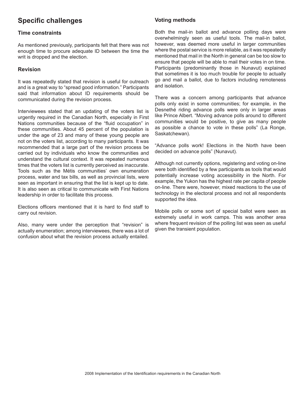# **Specific challenges**

## **Time constraints**

As mentioned previously, participants felt that there was not enough time to procure adequate ID between the time the writ is dropped and the election.

## **Revision**

It was repeatedly stated that revision is useful for outreach and is a great way to "spread good information." Participants said that information about ID requirements should be communicated during the revision process.

Interviewees stated that an updating of the voters list is urgently required in the Canadian North, especially in First Nations communities because of the "fluid occupation" in these communities. About 45 percent of the population is under the age of 23 and many of these young people are not on the voters list, according to many participants. It was recommended that a large part of the revision process be carried out by individuals who know the communities and understand the cultural context. It was repeated numerous times that the voters list is currently perceived as inaccurate. Tools such as the Métis communities' own enumeration process, water and tax bills, as well as provincial lists, were seen as important in ensuring that the list is kept up to date. It is also seen as critical to communicate with First Nations leadership in order to facilitate this process.

Elections officers mentioned that it is hard to find staff to carry out revision.

Also, many were under the perception that "revision" is actually enumeration; among interviewees, there was a lot of confusion about what the revision process actually entailed.

# **Voting methods**

Both the mail-in ballot and advance polling days were overwhelmingly seen as useful tools. The mail-in ballot, however, was deemed more useful in larger communities where the postal service is more reliable, as it was repeatedly mentioned that mail in the North in general can be too slow to ensure that people will be able to mail their votes in on time. Participants (predominantly those in Nunavut) explained that sometimes it is too much trouble for people to actually go and mail a ballot, due to factors including remoteness and isolation.

There was a concern among participants that advance polls only exist in some communities; for example, in the Desnethé riding advance polls were only in larger areas like Prince Albert. "Moving advance polls around to different communities would be positive, to give as many people as possible a chance to vote in these polls" (La Ronge, Saskatchewan).

"Advance polls work! Elections in the North have been decided on advance polls" (Nunavut).

Although not currently options, registering and voting on-line were both identified by a few participants as tools that would potentially increase voting accessibility in the North. For example, the Yukon has the highest rate per capita of people on-line. There were, however, mixed reactions to the use of technology in the electoral process and not all respondents supported the idea.

Mobile polls or some sort of special ballot were seen as extremely useful in work camps. This was another area where frequent revision of the polling list was seen as useful given the transient population.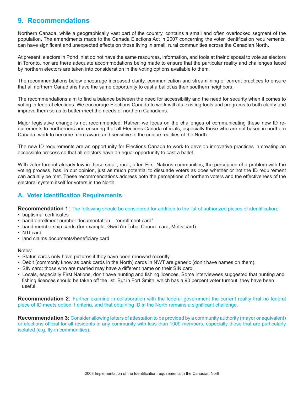# **9. Recommendations**

Northern Canada, while a geographically vast part of the country, contains a small and often overlooked segment of the population. The amendments made to the Canada Elections Act in 2007 concerning the voter identification requirements, can have significant and unexpected effects on those living in small, rural communities across the Canadian North.

At present, electors in Pond Inlet do not have the same resources, information, and tools at their disposal to vote as electors in Toronto, nor are there adequate accommodations being made to ensure that the particular reality and challenges faced by northern electors are taken into consideration in the voting options available to them.

The recommendations below encourage increased clarity, communication and streamlining of current practices to ensure that all northern Canadians have the same opportunity to cast a ballot as their southern neighbors.

The recommendations aim to find a balance between the need for accessibility and the need for security when it comes to voting in federal elections. We encourage Elections Canada to work with its existing tools and programs to both clarify and improve them so as to better meet the needs of northern Canadians.

Major legislative change is not recommended. Rather, we focus on the challenges of communicating these new ID requirements to northerners and ensuring that all Elections Canada officials, especially those who are not based in northern Canada, work to become more aware and sensitive to the unique realities of the North.

The new ID requirements are an opportunity for Elections Canada to work to develop innovative practices in creating an accessible process so that all electors have an equal opportunity to cast a ballot.

With voter turnout already low in these small, rural, often First Nations communities, the perception of a problem with the voting process, has, in our opinion, just as much potential to dissuade voters as does whether or not the ID requirement can actually be met. These recommendations address both the perceptions of northern voters and the effectiveness of the electoral system itself for voters in the North.

# **A. Voter Identification Requirements**

**Recommendation 1:** The following should be considered for addition to the list of authorized pieces of identification:

- baptismal certificates
- band enrollment number documentation "enrollment card"
- band membership cards (for example, Gwich'in Tribal Council card, Métis card)
- NTI card
- land claims documents/beneficiary card

#### Notes:

- Status cards only have pictures if they have been renewed recently.
- Debit (commonly know as bank cards in the North) cards in NWT are generic (don't have names on them).
- SIN card: those who are married may have a different name on their SIN card.
- Locals, especially First Nations, don't have hunting and fishing licences. Some interviewees suggested that hunting and fishing licences should be taken off the list. But in Fort Smith, which has a 90 percent voter turnout, they have been useful.

**Recommendation 2:** Further examine in collaboration with the federal government the current reality that no federal piece of ID meets option 1 criteria, and that obtaining ID in the North remains a significant challenge.

**Recommendation 3:** Consider allowing letters of attestation to be provided by a community authority (mayor or equivalent) or elections official for all residents in any community with less than 1000 members, especially those that are particularly isolated (e.g. fly-in communities).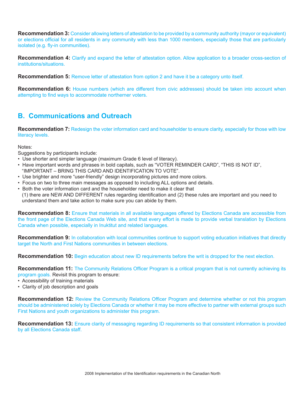**Recommendation 3:** Consider allowing letters of attestation to be provided by a community authority (mayor or equivalent) or elections official for all residents in any community with less than 1000 members, especially those that are particularly isolated (e.g. fly-in communities).

**Recommendation 4:** Clarify and expand the letter of attestation option. Allow application to a broader cross-section of institutions/situations.

**Recommendation 5:** Remove letter of attestation from option 2 and have it be a category unto itself.

**Recommendation 6:** House numbers (which are different from civic addresses) should be taken into account when attempting to find ways to accommodate northerner voters.

# **B. Communications and Outreach**

**Recommendation 7:** Redesign the voter information card and householder to ensure clarity, especially for those with low literacy levels.

Notes:

Suggestions by participants include:

- Use shorter and simpler language (maximum Grade 6 level of literacy).
- Have important words and phrases in bold capitals, such as "VOTER REMINDER CARD", "THIS IS NOT ID", "IMPORTANT – BRING THIS CARD AND IDENTIFICATION TO VOTE".
- Use brighter and more "user-friendly" design incorporating pictures and more colors.
- Focus on two to three main messages as opposed to including ALL options and details.
- Both the voter information card and the householder need to make it clear that
- (1) there are NEW AND DIFFERENT rules regarding identification and (2) these rules are important and you need to understand them and take action to make sure you can abide by them.

**Recommendation 8:** Ensure that materials in all available languages offered by Elections Canada are accessible from the front page of the Elections Canada Web site, and that every effort is made to provide verbal translation by Elections Canada when possible, especially in Inuktitut and related languages.

**Recommendation 9:** In collaboration with local communities continue to support voting education initiatives that directly target the North and First Nations communities in between elections.

**Recommendation 10:** Begin education about new ID requirements before the writ is dropped for the next election.

**Recommendation 11:** The Community Relations Officer Program is a critical program that is not currently achieving its program goals. Revisit this program to ensure:

- Accessibility of training materials
- Clarity of job description and goals

**Recommendation 12:** Review the Community Relations Officer Program and determine whether or not this program should be administered solely by Elections Canada or whether it may be more effective to partner with external groups such First Nations and youth organizations to administer this program.

**Recommendation 13:** Ensure clarity of messaging regarding ID requirements so that consistent information is provided by all Elections Canada staff.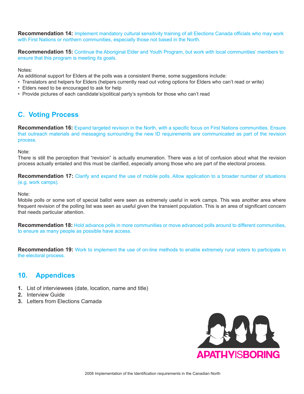**Recommendation 14:** Implement mandatory cultural sensitivity training of all Elections Canada officials who may work with First Nations or northern communities, especially those not based in the North.

**Recommendation 15:** Continue the Aboriginal Elder and Youth Program, but work with local communities' members to ensure that this program is meeting its goals.

Notes:

As additional support for Elders at the polls was a consistent theme, some suggestions include:

- Translators and helpers for Elders (helpers currently read out voting options for Elders who can't read or write)
- Elders need to be encouraged to ask for help
- Provide pictures of each candidate's/political party's symbols for those who can't read

# **C. Voting Process**

**Recommendation 16:** Expand targeted revision in the North, with a specific focus on First Nations communities. Ensure that outreach materials and messaging surrounding the new ID requirements are communicated as part of the revision process.

Note:

There is still the perception that "revision" is actually enumeration. There was a lot of confusion about what the revision process actually entailed and this must be clarified, especially among those who are part of the electoral process.

**Recommendation 17:** Clarify and expand the use of mobile polls. Allow application to a broader number of situations (e.g. work camps).

Note:

Mobile polls or some sort of special ballot were seen as extremely useful in work camps. This was another area where frequent revision of the polling list was seen as useful given the transient population. This is an area of significant concern that needs particular attention.

**Recommendation 18:** Hold advance polls in more communities or move advanced polls around to different communities, to ensure as many people as possible have access.

**Recommendation 19:** Work to implement the use of on-line methods to enable extremely rural voters to participate in the electoral process.

# **10. Appendices**

- **1.** List of interviewees (date, location, name and title)
- **2.** Interview Guide
- **3.** Letters from Elections Camada

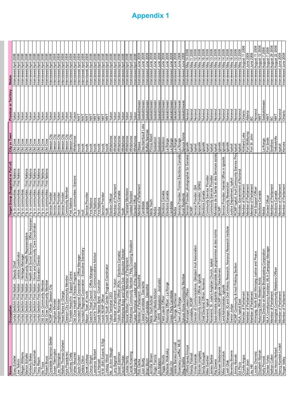| Name                                                   | Occupation                                                                                                                                  | Target Group (Supported or Part of)                                                            | City or Town                                             | <b>Province or Territory</b>          | <b>Status</b>                                           |
|--------------------------------------------------------|---------------------------------------------------------------------------------------------------------------------------------------------|------------------------------------------------------------------------------------------------|----------------------------------------------------------|---------------------------------------|---------------------------------------------------------|
| Esau Schafer                                           | Vuntut Gwitchin First Nation - Deputy Chie                                                                                                  | Fly in communities / First Nations                                                             | Old Crow                                                 | Yukon                                 | 2008<br>Interviewed April                               |
| Megan Williams<br>Joe Tetlichi                         | otenipac<br>Vuntut Gwitchin First Nation - Heritage M.<br>Vuntut Gwitchin First Nation - Justice Coo                                        | Fly in communities / First Nations<br>Fly in communities                                       | Old Crow<br>Old Crow                                     | Yukon<br>Yukon                        | Interviewed April 2008<br>Interviewed April             |
| Marion Schafer                                         | <b>Health Representative</b><br>anager<br>Vuntut Gwitchin First Nation- Community                                                           |                                                                                                |                                                          | Yukon                                 | Interviewed April 2008                                  |
| imberly Blake                                          | ssistan<br>Serv<br>iocial                                                                                                                   | Fly in communities / First Nations<br>Fly in communities / First Nations<br>Fly in communities |                                                          | Yukon                                 | April<br>nterviewed                                     |
| racy Kapuschak                                         | Coordinator<br>Care<br>Care<br>Community<br>Care<br>Vuntut Gwitchin First Nation- Health and S<br>Vuntut Gwitchin First Nation - Home and C | Fly in communities / First Nations                                                             |                                                          | Yukon                                 | 2008<br>Interviewed April                               |
| <b>Tracy Rispin</b>                                    | Vuntut Gwitchin First Nation- Education Director                                                                                            | Fly in communities / First Nations                                                             |                                                          | Yukon                                 | Interviewed April 2008                                  |
| lda Tizya                                              | Old Crow Community Member                                                                                                                   | Fly in communities / First Nations                                                             |                                                          | Yukon                                 | Interviewed April 2008                                  |
| Constable Shannon Stelter<br>Robert Bruce              | Old Crow Community Member<br>RCMP Officer Dawson City                                                                                       | Fly in communities / First Nations<br>Service Provider                                         | Dawson City<br>Dawson City                               | Yukon<br>Yukon                        | Interviewed April 2008<br>Interviewed April 2008        |
| Susan Titterington                                     | Anglican Minister                                                                                                                           | Service Provider                                                                               |                                                          | Yukon                                 | Interviewed April 2008                                  |
|                                                        | Anglican Ministe.                                                                                                                           |                                                                                                |                                                          |                                       | ā<br>R<br>nterviewed                                    |
| Lee Titterington<br>Walker Thomas Graham               | Head Nurse in Charge                                                                                                                        | Service Provider<br>Service Provider                                                           | VilO uoswed<br>VilO uoswed<br>VilO uoswed<br>VilO uoswed | Yukon<br>Yukon                        | 2008<br>Interviewed April                               |
| Kyla Popadynec                                         | Dawson City Community Member                                                                                                                | Community Member                                                                               | Dawson City                                              | Yukon                                 | Interviewed April 2008                                  |
| Courtney Cratty                                        | Tr'ondek Hwech'in - Support Centre                                                                                                          | First Nations                                                                                  | Dawson City                                              | Yukon                                 | Interviewed April 2008                                  |
| Father Mouchet                                         | Old Crow Health & Fitness Program                                                                                                           | Fly in communities / Seniors                                                                   | Whitehorse                                               | Yukon                                 | Interviewed April 2008                                  |
| Gayle Gruben                                           | Secretary<br>Inuvialuit Regional Corporation - Office Manager<br>Inuvialuit Regional Corporation - Executive Secre                          | Ĕ                                                                                              | Inuvik                                                   | TNNT                                  | Interviewed April 2008                                  |
| ebbie Dillon                                           |                                                                                                                                             | Ē                                                                                              | Inuvik<br>Inuvik                                         | <b>TMN</b><br><b>NVT</b>              | Interviewed April 2008<br>Interviewed April 2008        |
| erek Lindsay<br>Cheryl Wright                          | Mayor - Town of Inuvik<br>Gwich'in Tribal Council - Office Manager<br>Council - Check Manager                                               | Service Provider<br>First Nations                                                              | Inuvik                                                   | $\overline{\Sigma}$                   | Interviewed April 2008                                  |
| Lawrence Norbert                                       | Advisor<br>Gwich'in Tribal Council - Communications                                                                                         | First Nations                                                                                  | Inuvik                                                   | Ş                                     | Interviewed April 2008                                  |
|                                                        |                                                                                                                                             | <b>First Nations</b>                                                                           | Inuvik                                                   | Ş                                     | Interviewed April 2008                                  |
| <u>Liz Hansen</u><br>W.M. ( <u>Bill) Eubank, S/Sgt</u> | Inuvik Native Band - Councilor<br>Inuvik RCMP Officer                                                                                       | Service Provide                                                                                | Inuvik                                                   | <b>NNT</b>                            | Interviewed April 2008                                  |
| <u>Lindsay Wood</u><br>Ms. <u>Jo-Ann Waugh</u>         | Inuvik Youth Center Program Coordinator<br>Yukon Territorial CEO                                                                            | Youth                                                                                          | Inuvik<br>Whitehorse                                     | NWT                                   | Interviewed April 2008                                  |
|                                                        |                                                                                                                                             | Election Officia                                                                               |                                                          | Yukor                                 | $\bar{z}$<br>nterviewed                                 |
| arry Bagnell.                                          | Member of Parliament - Yukon                                                                                                                | Member of Parliament                                                                           | Whitehorse                                               | Yukon                                 | Interviewed April 2008                                  |
| Susan Edelman                                          | Canada)<br>Yukon Retuming Officer (ROs - Elections                                                                                          | Elections Canada                                                                               | Whitehorse                                               | Yukon                                 | Interviewed April 2008                                  |
| David Prodan                                           | <i>r</i> e Director<br>Social Worker / Former Member of Parliament<br>Whitehorse Boys and Girls Club - Executiv                             | Transient Members<br>Youth                                                                     | Whitehorse                                               | Yukon                                 | Interviewed April 2008                                  |
| Carole Kroening<br>Louise Hardy                        | Whitehorse Community Member / Pelly Crossing Residen                                                                                        | solated Resident                                                                               | Whitehorse                                               | Yukon<br>Yukon                        | Interviewed April 2008<br>Interviewed April 2008        |
| Todd Hardy                                             | Yukon Territorial - Leader of the Oppositio                                                                                                 | Elected Offica                                                                                 | Whitehorse<br>Whitehorse                                 | Yukon                                 | Interviewed April 2008                                  |
|                                                        |                                                                                                                                             | Member of Parliament                                                                           |                                                          |                                       |                                                         |
| Rob Clarke<br>Joan Beatty                              | Member of Parliament - Desnethé<br>Liberal Candidate - Desnethé                                                                             | Candidate                                                                                      | Ottawa<br>Deschambault Lake                              | Saskatchewan<br>Saskatchewan          | Interviewed June 2008<br>Interviewed June 2008          |
| <b>Brian Morin</b>                                     | NDP Candidate - Desnethé                                                                                                                    | Candidate                                                                                      | Buffalo Narrows                                          | Saskatchewan                          | Interviewed June 2008                                   |
| Jennifer Brown                                         | Metis Youth Activist                                                                                                                        | Metis Youth                                                                                    | Prince Albert                                            | Saskatchewan                          | Interviewed June 2008                                   |
| Roger Francis                                          | Regional Media Advisor                                                                                                                      | Media                                                                                          | Saskatoon                                                | Saskatchewan                          | Interviewed June 2008                                   |
| Jim Mattem                                             | CJWW - Saskatoon - Journalist<br>Field Liason Officer                                                                                       | Media                                                                                          | Saskatoon<br>Saskatoon                                   | Saskatchewar<br>Saskatchewar          | Interviewed June 2008<br>Interviewed June 2008          |
| Peggy Woods<br>Marlene Wolkosky                        | Returning Officer - La Ronge                                                                                                                | Elections Canada<br>Elections Canada                                                           | La Ronge                                                 | Saskatchewan                          | June 2008<br>Interviewed<br>nterviewed                  |
| Robin Ori                                              | Green Party Candidate                                                                                                                       | Candidate                                                                                      | La Ronge                                                 | Saskatchewar                          | June 2008<br>Interviewed                                |
| Valerie Barnes-Connell                                 | La Ronge Northerner                                                                                                                         | Media                                                                                          | La Ronge                                                 | Saskatchewan                          | Interviewed June 2008                                   |
| Rosemary Loeffler, MLIS                                | Town of La Ronge                                                                                                                            | Service Provider; Former Elections Canada<br>Rural Residents                                   | La Ronge                                                 | Saskatchewan<br>Saskatchewan          | Interviewed June 2008                                   |
| Meg Shatilla                                           | Spruce Home Community Member                                                                                                                |                                                                                                | Spruce Home                                              |                                       | Interviewed June 2008                                   |
| Clifford Iquaq Innoya<br>Wendy Picknell                | Municipal Liaison Officer<br>Constable, RCMP                                                                                                | Service Provider; photographer for General                                                     | Igloolik<br>Iqaluit                                      | Nunavut                               | Interviewed May 14 2008                                 |
|                                                        | it Association<br>Constable,                                                                                                                | Service Provider; QIA<br><b>RCM</b>                                                            |                                                          | Nunavut                               | nterviewed                                              |
| Sidonie Ungalaq<br>Vinnie Karetak                      | Director of Communicatinos, Qikiqtani Inui                                                                                                  | Service Provider; QINIQ                                                                        | <b>Igloolik</b><br>Iqaluit                               | Nunavut<br>Nunavut                    | Interviewed May 14 2008<br>Interviewed May 12 2008      |
| Sandy Kosugak                                          | Community Liaison Officer, Igloolik<br>Chief Electoral Officer, Nunavut                                                                     | Elections Canada                                                                               | <b>Igloolik</b>                                          | Nunavul                               | Interviewed May 16 2008                                 |
| <b>Mike Gardner</b>                                    | Reverend, Iqaluit                                                                                                                           | Community Service Provider                                                                     | Iqaluit                                                  | Nunavul                               | Interviewed May 16 2008                                 |
| lames Barlow                                           | 這<br>Reverend, St. Jude's Anglican Church, Iqa                                                                                              | Community Service Provider                                                                     | Iqaluit                                                  | Nunavul                               | Interviewed May 13 2008                                 |
| Raj Downe                                              | Sous-ministre adjointe responsible des programmes et des norms<br>Constable, RCMP Igloolik Detachment                                       | Services social<br>Ministere de la Sante et des                                                | lqaluit                                                  | Nunavul                               | Interviewed May 12 2008                                 |
| ichael Seidemann<br>Mike Immaroitok<br>Σ               |                                                                                                                                             | Service Provider; Hamlet Office in Igloolik<br><b>RCMP</b>                                     | ligoolik                                                 | Nunavut                               | 2008<br>2008<br>Interviewed May 14<br>nterviewed May 14 |
| Leah Otak                                              | lunavut Research Institute<br>Manager, IQ and Oral History Research, N<br>Land Administrator, Igloolik                                      | Community Researcher                                                                           | Igloolik<br>lgloolik                                     | Nunavut<br>Nunavul                    | Interviewed May 14 2008                                 |
| Beverley Browne                                        | Senior Judge                                                                                                                                | Justice Department, Iqaluit                                                                    | lqaluit                                                  | Nunavul                               | Interviewed May 16 2008                                 |
| Jimmy Akavak                                           | RCMP Community & Inuit Policing Section                                                                                                     | RCMP Iqaluit; Inuit Community Service Prov Iqaluit                                             |                                                          | Nunavut                               | Interviewed May 12 2008                                 |
| Ed Picco                                               | MLA, Iqaluit East                                                                                                                           | Minister, Government of Nunavut                                                                | Iqaluit<br>Kirkland L                                    | Nunavu                                | Interviewed May 12 2008<br>Interviewed August 11 2008   |
| Charlie Angus                                          | Member of Parliament                                                                                                                        | of Parl<br>Vember                                                                              |                                                          | Ontario                               |                                                         |
| Brian Jean                                             | Member of Parliament                                                                                                                        | Member of Parliament                                                                           | Fort McMurray                                            | Alberta                               | Interviewed June 2008                                   |
| Louise Chernetz<br> iiH<br>Pay Hi                      | Winnipeg: North East Winnipeg Justice and Peace<br>Member of Parliament                                                                     | Member of Parliament<br>Field Support Officer                                                  | Fort St. John                                            | Nunavut<br>BC                         | Interviewed August 11 2008<br>Interviewed June 2008     |
| Elizabeth Wyman                                        | Returning Officer Western Arctic                                                                                                            | Elections Canada                                                                               |                                                          | MNT                                   | Interviewed August 12 2008                              |
| Kelly Provost                                          |                                                                                                                                             | Media                                                                                          | La Ronge                                                 | NWT<br>NWT                            | Interviewed August 7 2008                               |
| Denise Yuhas<br>Nathan Cullen                          | <u>News Director at Missinipi Broadcasting Corporation<br/>MLA Constituency Assistant, MLA Campaign Manager</u>                             | Elected Offical<br>Member of Parliament                                                        | Fort Smith<br>Smithers<br>Yellowknife                    |                                       | Interviewed August 7 2008                               |
| Nathan Cullen<br>Sue Heron-Herbert                     | Member of Parliament                                                                                                                        |                                                                                                |                                                          | $\overline{\check{\mathsf{z}}}$<br>БC | nterviewed                                              |
| Nancy Karetak-Lindell                                  | Aboriginal Community Relations Officer<br>Member of Parliament                                                                              | Member of Parliament<br>Elections Canada                                                       | Iqaluit                                                  | Nunavu                                | Interviewed August 22 2008<br>Interviewed June 2008     |
| Roger Valley                                           | Member of Parliament                                                                                                                        | Member of Parliamen                                                                            | Kenora                                                   | Ontario                               | Interviewed June 2008                                   |

**Appendix 1**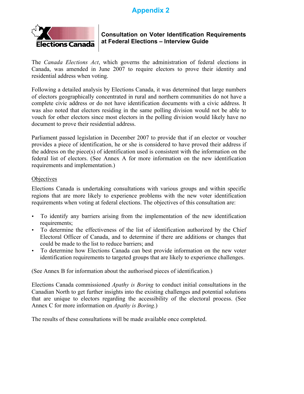# **Appendix 2**



# **Consultation on Voter Identification Requirements at Federal Elections – Interview Guide**

The *Canada Elections Act*, which governs the administration of federal elections in Canada, was amended in June 2007 to require electors to prove their identity and residential address when voting.

Following a detailed analysis by Elections Canada, it was determined that large numbers of electors geographically concentrated in rural and northern communities do not have a complete civic address or do not have identification documents with a civic address. It was also noted that electors residing in the same polling division would not be able to vouch for other electors since most electors in the polling division would likely have no document to prove their residential address.

Parliament passed legislation in December 2007 to provide that if an elector or voucher provides a piece of identification, he or she is considered to have proved their address if the address on the piece(s) of identification used is consistent with the information on the federal list of electors. (See Annex A for more information on the new identification requirements and implementation.)

# **Objectives**

Elections Canada is undertaking consultations with various groups and within specific regions that are more likely to experience problems with the new voter identification requirements when voting at federal elections. The objectives of this consultation are:

- To identify any barriers arising from the implementation of the new identification requirements;
- To determine the effectiveness of the list of identification authorized by the Chief Electoral Officer of Canada, and to determine if there are additions or changes that could be made to the list to reduce barriers; and
- To determine how Elections Canada can best provide information on the new voter identification requirements to targeted groups that are likely to experience challenges.

(See Annex B for information about the authorised pieces of identification.)

Elections Canada commissioned *Apathy is Boring* to conduct initial consultations in the Canadian North to get further insights into the existing challenges and potential solutions that are unique to electors regarding the accessibility of the electoral process. (See Annex C for more information on *Apathy is Boring*.)

The results of these consultations will be made available once completed.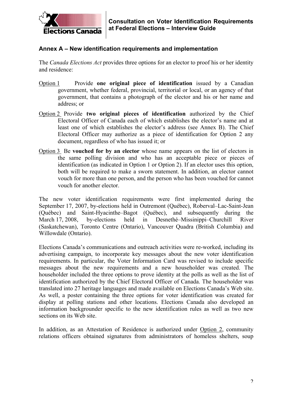

# **Annex A – New identification requirements and implementation**

The *Canada Elections Act* provides three options for an elector to proof his or her identity and residence:

- Option 1 Provide **one original piece of identification** issued by a Canadian government, whether federal, provincial, territorial or local, or an agency of that government, that contains a photograph of the elector and his or her name and address; or
- Option 2 Provide **two original pieces of identification** authorized by the Chief Electoral Officer of Canada each of which establishes the elector's name and at least one of which establishes the elector's address (see Annex B). The Chief Electoral Officer may authorize as a piece of identification for Option 2 any document, regardless of who has issued it; or
- Option 3 Be **vouched for by an elector** whose name appears on the list of electors in the same polling division and who has an acceptable piece or pieces of identification (as indicated in Option 1 or Option 2). If an elector uses this option, both will be required to make a sworn statement. In addition, an elector cannot vouch for more than one person, and the person who has been vouched for cannot vouch for another elector.

The new voter identification requirements were first implemented during the September 17, 2007, by-elections held in Outremont (Québec), Roberval–Lac-Saint-Jean (Québec) and Saint-Hyacinthe–Bagot (Québec), and subsequently during the March 17, 2008, by-elections held in Desnethé–Missinippi–Churchill River (Saskatchewan), Toronto Centre (Ontario), Vancouver Quadra (British Columbia) and Willowdale (Ontario).

Elections Canada's communications and outreach activities were re-worked, including its advertising campaign, to incorporate key messages about the new voter identification requirements. In particular, the Voter Information Card was revised to include specific messages about the new requirements and a new householder was created. The householder included the three options to prove identity at the polls as well as the list of identification authorized by the Chief Electoral Officer of Canada. The householder was translated into 27 heritage languages and made available on Elections Canada's Web site. As well, a poster containing the three options for voter identification was created for display at polling stations and other locations. Elections Canada also developed an information backgrounder specific to the new identification rules as well as two new sections on its Web site.

In addition, as an Attestation of Residence is authorized under Option 2, community relations officers obtained signatures from administrators of homeless shelters, soup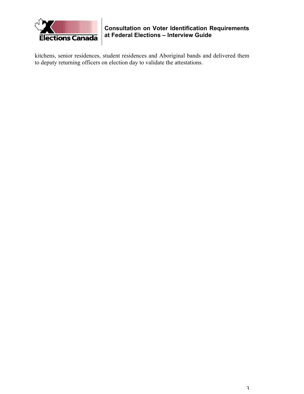

**Consultation on Voter Identification Requirements at Federal Elections – Interview Guide**

kitchens, senior residences, student residences and Aboriginal bands and delivered them to deputy returning officers on election day to validate the attestations.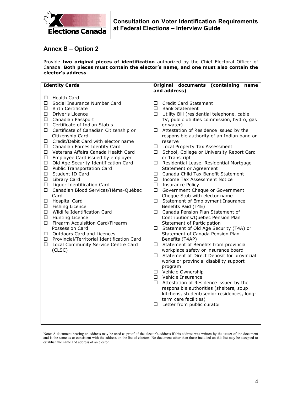

# **Annex B – Option 2**

Provide **two original pieces of identification** authorized by the Chief Electoral Officer of Canada. **Both pieces must contain the elector's name, and one must also contain the elector's address**.

| <b>Identity Cards</b>                                | Original documents (containing<br>name         |
|------------------------------------------------------|------------------------------------------------|
|                                                      | and address)                                   |
| <b>Health Card</b><br>$\Box$                         |                                                |
| □<br>Social Insurance Number Card                    | <b>Credit Card Statement</b><br>□              |
| $\Box$<br><b>Birth Certificate</b>                   | □<br><b>Bank Statement</b>                     |
| □<br>Driver's Licence                                | □ Utility Bill (residential telephone, cable   |
| $\Box$<br>Canadian Passport                          | TV, public utilities commission, hydro, gas    |
| $\Box$<br>Certificate of Indian Status               | or water)                                      |
| □<br>Certificate of Canadian Citizenship or          | Attestation of Residence issued by the<br>□    |
| Citizenship Card                                     | responsible authority of an Indian band or     |
| □<br>Credit/Debit Card with elector name             | reserve                                        |
| $\Box$<br>Canadian Forces Identity Card              | $\Box$<br>Local Property Tax Assessment        |
| Veterans Affairs Canada Health Card<br>□             | School, College or University Report Card<br>□ |
| □<br>Employee Card issued by employer                | or Transcript                                  |
| □<br>Old Age Security Identification Card            | Residential Lease, Residential Mortgage        |
| $\Box$<br><b>Public Transportation Card</b>          | <b>Statement or Agreement</b>                  |
| $\Box$<br>Student ID Card                            | □<br>Canada Child Tax Benefit Statement        |
| Library Card<br>$\Box$                               | □<br><b>Income Tax Assessment Notice</b>       |
| □<br>Liquor Identification Card                      | $\Box$<br><b>Insurance Policy</b>              |
| □<br>Canadian Blood Services/Héma-Québec             | □<br>Government Cheque or Government           |
| Card                                                 | Cheque Stub with elector name                  |
| <b>Hospital Card</b><br>□                            | □ Statement of Employment Insurance            |
| □<br>Fishing Licence                                 | Benefits Paid (T4E)                            |
| □<br>Wildlife Identification Card                    | □ Canada Pension Plan Statement of             |
| $\Box$<br>Hunting Licence                            | Contributions/Quebec Pension Plan              |
| □<br>Firearm Acquisition Card/Firearm                | Statement of Participation                     |
| Possession Card                                      | □ Statement of Old Age Security (T4A) or       |
| Outdoors Card and Licences<br>$\Box$                 | Statement of Canada Pension Plan               |
| Provincial/Territorial Identification Card<br>$\Box$ | Benefits (T4AP)                                |
| $\Box$<br>Local Community Service Centre Card        | □ Statement of Benefits from provincial        |
| (CLSC)                                               | workplace safety or insurance board            |
|                                                      | Statement of Direct Deposit for provincial     |
|                                                      | works or provincial disability support         |
|                                                      | program                                        |
|                                                      | □ Vehicle Ownership                            |
|                                                      | □ Vehicle Insurance                            |
|                                                      | $\Box$ Attestation of Residence issued by the  |
|                                                      | responsible authorities (shelters, soup        |
|                                                      | kitchens, student/senior residences, long-     |
|                                                      | term care facilities)                          |
|                                                      | Letter from public curator<br>□                |
|                                                      |                                                |
|                                                      |                                                |
|                                                      |                                                |
|                                                      |                                                |

Note: A document bearing an address may be used as proof of the elector's address if this address was written by the issuer of the document and is the same as or consistent with the address on the list of electors. No document other than those included on this list may be accepted to establish the name and address of an elector.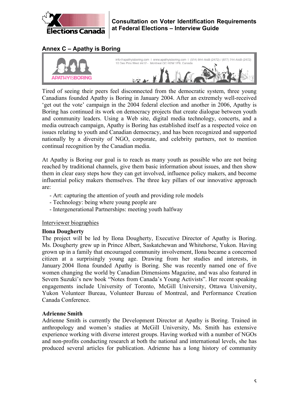

# **Annex C – Apathy is Boring**



Tired of seeing their peers feel disconnected from the democratic system, three young Canadians founded Apathy is Boring in January 2004. After an extremely well-received 'get out the vote' campaign in the 2004 federal election and another in 2006, Apathy is Boring has continued its work on democracy projects that create dialogue between youth and community leaders. Using a Web site, digital media technology, concerts, and a media outreach campaign, Apathy is Boring has established itself as a respected voice on issues relating to youth and Canadian democracy, and has been recognized and supported nationally by a diversity of NGO, corporate, and celebrity partners, not to mention continual recognition by the Canadian media.

At Apathy is Boring our goal is to reach as many youth as possible who are not being reached by traditional channels, give them basic information about issues, and then show them in clear easy steps how they can get involved, influence policy makers, and become influential policy makers themselves. The three key pillars of our innovative approach are:

- Art: capturing the attention of youth and providing role models
- Technology: being where young people are
- Intergenerational Partnerships: meeting youth halfway

# Interviewer biographies

# **Ilona Dougherty**

The project will be led by Ilona Dougherty, Executive Director of Apathy is Boring. Ms. Dougherty grew up in Prince Albert, Saskatchewan and Whitehorse, Yukon. Having grown up in a family that encouraged community involvement, Ilona became a concerned citizen at a surprisingly young age. Drawing from her studies and interests, in January 2004 Ilona founded Apathy is Boring. She was recently named one of five women changing the world by Canadian Dimensions Magazine, and was also featured in Severn Suzuki's new book "Notes from Canada's Young Activists". Her recent speaking engagements include University of Toronto, McGill University, Ottawa University, Yukon Volunteer Bureau, Volunteer Bureau of Montreal, and Performance Creation Canada Conference.

# **Adrienne Smith**

Adrienne Smith is currently the Development Director at Apathy is Boring. Trained in anthropology and women's studies at McGill University, Ms. Smith has extensive experience working with diverse interest groups. Having worked with a number of NGOs and non-profits conducting research at both the national and international levels, she has produced several articles for publication. Adrienne has a long history of community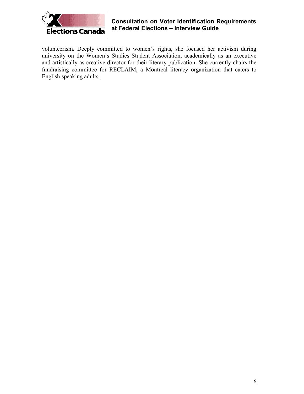

# **Consultation on Voter Identification Requirements at Federal Elections – Interview Guide**

volunteerism. Deeply committed to women's rights, she focused her activism during university on the Women's Studies Student Association, academically as an executive and artistically as creative director for their literary publication. She currently chairs the fundraising committee for RECLAIM, a Montreal literacy organization that caters to English speaking adults.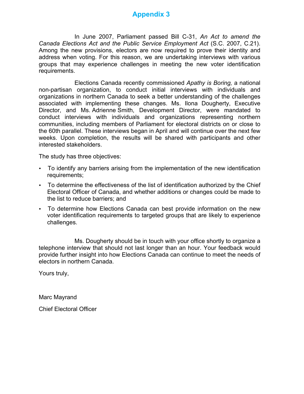# **Appendix 3**

In June 2007, Parliament passed Bill C-31, *An Act to amend the Canada Elections Act and the Public Service Employment Act* (S.C. 2007, C.21). Among the new provisions, electors are now required to prove their identity and address when voting. For this reason, we are undertaking interviews with various groups that may experience challenges in meeting the new voter identification requirements.

Elections Canada recently commissioned *Apathy is Boring,* a national non-partisan organization, to conduct initial interviews with individuals and organizations in northern Canada to seek a better understanding of the challenges associated with implementing these changes. Ms. Ilona Dougherty, Executive Director, and Ms. Adrienne Smith, Development Director, were mandated to conduct interviews with individuals and organizations representing northern communities, including members of Parliament for electoral districts on or close to the 60th parallel. These interviews began in April and will continue over the next few weeks. Upon completion, the results will be shared with participants and other interested stakeholders.

The study has three objectives:

- To identify any barriers arising from the implementation of the new identification requirements;
- To determine the effectiveness of the list of identification authorized by the Chief Electoral Officer of Canada, and whether additions or changes could be made to the list to reduce barriers; and
- To determine how Elections Canada can best provide information on the new voter identification requirements to targeted groups that are likely to experience challenges.

Ms. Dougherty should be in touch with your office shortly to organize a telephone interview that should not last longer than an hour. Your feedback would provide further insight into how Elections Canada can continue to meet the needs of electors in northern Canada.

Yours truly,

Marc Mayrand

Chief Electoral Officer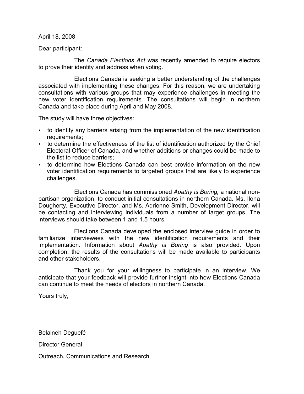April 18, 2008

Dear participant:

The *Canada Elections Act* was recently amended to require electors to prove their identity and address when voting.

Elections Canada is seeking a better understanding of the challenges associated with implementing these changes. For this reason, we are undertaking consultations with various groups that may experience challenges in meeting the new voter identification requirements. The consultations will begin in northern Canada and take place during April and May 2008.

The study will have three objectives:

- to identify any barriers arising from the implementation of the new identification requirements;
- to determine the effectiveness of the list of identification authorized by the Chief Electoral Officer of Canada, and whether additions or changes could be made to the list to reduce barriers;
- to determine how Elections Canada can best provide information on the new voter identification requirements to targeted groups that are likely to experience challenges.

Elections Canada has commissioned *Apathy is Boring,* a national nonpartisan organization, to conduct initial consultations in northern Canada. Ms. Ilona Dougherty, Executive Director, and Ms. Adrienne Smith, Development Director, will be contacting and interviewing individuals from a number of target groups. The interviews should take between 1 and 1.5 hours.

Elections Canada developed the enclosed interview guide in order to familiarize interviewees with the new identification requirements and their implementation. Information about *Apathy is Boring* is also provided. Upon completion, the results of the consultations will be made available to participants and other stakeholders.

Thank you for your willingness to participate in an interview. We anticipate that your feedback will provide further insight into how Elections Canada can continue to meet the needs of electors in northern Canada.

Yours truly,

Belaineh Deguefé

Director General

Outreach, Communications and Research